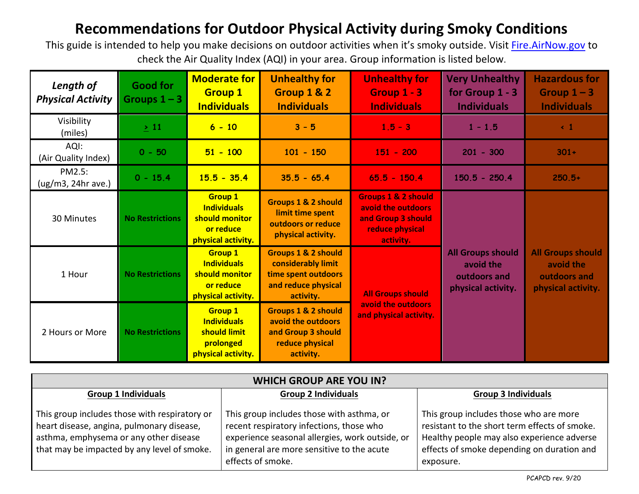## **Recommendations for Outdoor Physical Activity during Smoky Conditions**

This guide is intended to help you make decisions on outdoor activities when it's smoky outside. Visit [Fire.AirNow.gov](https://fire.airnow.gov/) to check the Air Quality Index (AQI) in your area. Group information is listed below.

| Length of<br><b>Physical Activity</b> | <b>Good for</b><br>Groups $1 - 3$ | <b>Moderate for</b><br><b>Group 1</b><br><b>Individuals</b>                               | <b>Unhealthy for</b><br>Group 1 & 2<br><b>Individuals</b>                                                       | <b>Unhealthy for</b><br>Group 1 - 3<br><b>Individuals</b>                                                  | <b>Very Unhealthy</b><br>for Group $1 - 3$<br><b>Individuals</b>            | <b>Hazardous for</b><br>Group $1 - 3$<br><b>Individuals</b>                 |
|---------------------------------------|-----------------------------------|-------------------------------------------------------------------------------------------|-----------------------------------------------------------------------------------------------------------------|------------------------------------------------------------------------------------------------------------|-----------------------------------------------------------------------------|-----------------------------------------------------------------------------|
| Visibility<br>(miles)                 | $\geq 11$                         | $6 - 10$                                                                                  | $3 - 5$                                                                                                         | $1.5 - 3$                                                                                                  | $1 - 1.5$                                                                   | $\leftarrow$ 1                                                              |
| AQI:<br>(Air Quality Index)           | $0 - 50$                          | $51 - 100$                                                                                | $101 - 150$                                                                                                     | $151 - 200$                                                                                                | $201 - 300$                                                                 | $301 +$                                                                     |
| PM2.5:<br>(ug/m3, 24hr ave.)          | $0 - 15.4$                        | $15.5 - 35.4$                                                                             | $35.5 - 65.4$                                                                                                   | $65.5 - 150.4$                                                                                             | $150.5 - 250.4$                                                             | $250.5+$                                                                    |
| 30 Minutes                            | <b>No Restrictions</b>            | <b>Group 1</b><br><b>Individuals</b><br>should monitor<br>or reduce<br>physical activity. | <b>Groups 1 &amp; 2 should</b><br>limit time spent<br>outdoors or reduce<br>physical activity.                  | <b>Groups 1 &amp; 2 should</b><br>avoid the outdoors<br>and Group 3 should<br>reduce physical<br>activity. |                                                                             |                                                                             |
| 1 Hour                                | <b>No Restrictions</b>            | <b>Group 1</b><br><b>Individuals</b><br>should monitor<br>or reduce<br>physical activity. | <b>Groups 1 &amp; 2 should</b><br>considerably limit<br>time spent outdoors<br>and reduce physical<br>activity. | <b>All Groups should</b><br>avoid the outdoors<br>and physical activity.                                   | <b>All Groups should</b><br>avoid the<br>outdoors and<br>physical activity. | <b>All Groups should</b><br>avoid the<br>outdoors and<br>physical activity. |
| 2 Hours or More                       | <b>No Restrictions</b>            | <b>Group 1</b><br><b>Individuals</b><br>should limit<br>prolonged<br>physical activity.   | <b>Groups 1 &amp; 2 should</b><br>avoid the outdoors<br>and Group 3 should<br>reduce physical<br>activity.      |                                                                                                            |                                                                             |                                                                             |

| <b>WHICH GROUP ARE YOU IN?</b>                                                                                                                                                      |                                                                                                                                                                                                             |                                                                                                                                                                                                  |  |  |  |  |
|-------------------------------------------------------------------------------------------------------------------------------------------------------------------------------------|-------------------------------------------------------------------------------------------------------------------------------------------------------------------------------------------------------------|--------------------------------------------------------------------------------------------------------------------------------------------------------------------------------------------------|--|--|--|--|
| <b>Group 1 Individuals</b>                                                                                                                                                          | <b>Group 2 Individuals</b>                                                                                                                                                                                  | <b>Group 3 Individuals</b>                                                                                                                                                                       |  |  |  |  |
| This group includes those with respiratory or<br>heart disease, angina, pulmonary disease,<br>asthma, emphysema or any other disease<br>that may be impacted by any level of smoke. | This group includes those with asthma, or<br>recent respiratory infections, those who<br>experience seasonal allergies, work outside, or<br>in general are more sensitive to the acute<br>effects of smoke. | This group includes those who are more<br>resistant to the short term effects of smoke.<br>Healthy people may also experience adverse<br>effects of smoke depending on duration and<br>exposure. |  |  |  |  |